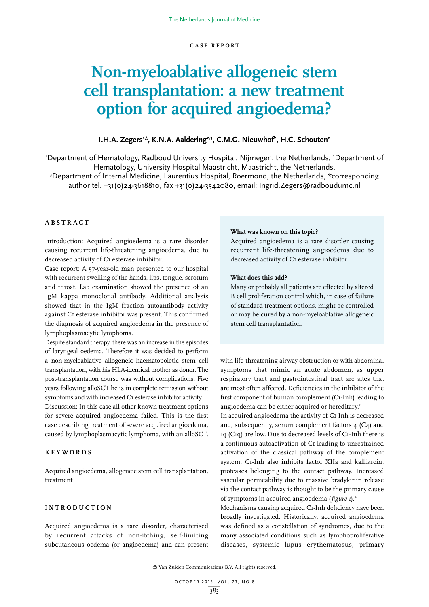# **Non-myeloablative allogeneic stem cell transplantation: a new treatment option for acquired angioedema?**

## I.H.A. Zegers<sup>1:</sup>\*, K.N.A. Aaldering<sup>2,3</sup>, C.M.G. Nieuwhof<sup>2</sup>, H.C. Schouten<sup>2</sup>

'Department of Hematology, Radboud University Hospital, Nijmegen, the Netherlands, <sup>2</sup>Department of Hematology, University Hospital Maastricht, Maastricht, the Netherlands, 3 <sup>3</sup>Department of Internal Medicine, Laurentius Hospital, Roermond, the Netherlands, \*corresponding author tel. +31(0)24-3618810, fax +31(0)24-3542080, email: Ingrid.Zegers@radboudumc.nl

# **ABSTRACT**

Introduction: Acquired angioedema is a rare disorder causing recurrent life-threatening angioedema, due to decreased activity of C1 esterase inhibitor.

Case report: A 57-year-old man presented to our hospital with recurrent swelling of the hands, lips, tongue, scrotum and throat. Lab examination showed the presence of an IgM kappa monoclonal antibody. Additional analysis showed that in the IgM fraction autoantibody activity against C1 esterase inhibitor was present. This confirmed the diagnosis of acquired angioedema in the presence of lymphoplasmacytic lymphoma.

Despite standard therapy, there was an increase in the episodes of laryngeal oedema. Therefore it was decided to perform a non-myeloablative allogeneic haematopoietic stem cell transplantation, with his HLA-identical brother as donor. The post-transplantation course was without complications. Five years following alloSCT he is in complete remission without symptoms and with increased C1 esterase inhibitor activity.

Discussion: In this case all other known treatment options for severe acquired angioedema failed. This is the first case describing treatment of severe acquired angioedema, caused by lymphoplasmacytic lymphoma, with an alloSCT.

### **KEYWORDS**

Acquired angioedema, allogeneic stem cell transplantation, treatment

#### **INTRODUCTION**

Acquired angioedema is a rare disorder, characterised by recurrent attacks of non-itching, self-limiting subcutaneous oedema (or angioedema) and can present

#### **What was known on this topic?**

Acquired angioedema is a rare disorder causing recurrent life-threatening angioedema due to decreased activity of C1 esterase inhibitor.

#### **What does this add?**

Many or probably all patients are effected by altered B cell proliferation control which, in case of failure of standard treatment options, might be controlled or may be cured by a non-myeloablative allogeneic stem cell transplantation.

with life-threatening airway obstruction or with abdominal symptoms that mimic an acute abdomen, as upper respiratory tract and gastrointestinal tract are sites that are most often affected. Deficiencies in the inhibitor of the first component of human complement (C1-Inh) leading to angioedema can be either acquired or hereditary.1

In acquired angioedema the activity of C1-Inh is decreased and, subsequently, serum complement factors 4 (C4) and 1q (C1q) are low. Due to decreased levels of C1-Inh there is a continuous autoactivation of C1 leading to unrestrained activation of the classical pathway of the complement system. C1-Inh also inhibits factor XIIa and kallikrein, proteases belonging to the contact pathway. Increased vascular permeability due to massive bradykinin release via the contact pathway is thought to be the primary cause of symptoms in acquired angioedema (*figure 1*).2

Mechanisms causing acquired C1-Inh deficiency have been broadly investigated. Historically, acquired angioedema was defined as a constellation of syndromes, due to the many associated conditions such as lymphoproliferative diseases, systemic lupus erythematosus, primary

© Van Zuiden Communications B.V. All rights reserved.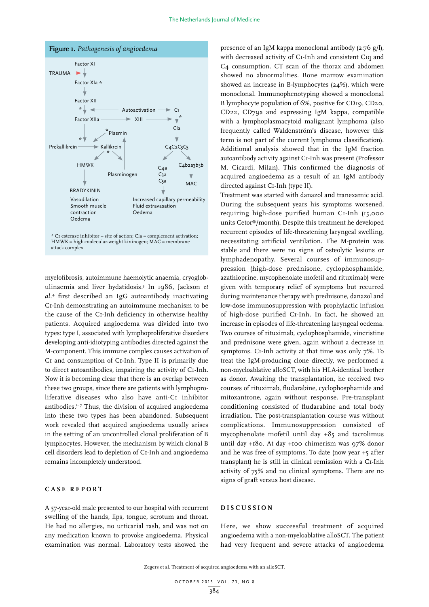

 $*$  C1 esterase inhibitor – site of action; Cla = complement activation; HMWK = high-molecular-weight kininogen; MAC = membrane attack complex.

myelofibrosis, autoimmune haemolytic anaemia, cryoglobulinaemia and liver hydatidosis.3 In 1986, Jackson *et al.*<sup>4</sup> first described an IgG autoantibody inactivating C1-Inh demonstrating an autoimmune mechanism to be the cause of the C1-Inh deficiency in otherwise healthy patients. Acquired angioedema was divided into two types: type I, associated with lymphoproliferative disorders developing anti-idiotyping antibodies directed against the M-component. This immune complex causes activation of C<sub>I</sub> and consumption of C<sub>I</sub>-Inh. Type II is primarily due to direct autoantibodies, impairing the activity of C1-Inh. Now it is becoming clear that there is an overlap between these two groups, since there are patients with lymphoproliferative diseases who also have anti-C1 inhibitor antibodies.<sup>5-7</sup> Thus, the division of acquired angioedema into these two types has been abandoned. Subsequent work revealed that acquired angioedema usually arises in the setting of an uncontrolled clonal proliferation of B lymphocytes. However, the mechanism by which clonal B cell disorders lead to depletion of C1-Inh and angioedema remains incompletely understood.

# **CASE REPORT**

A 57-year-old male presented to our hospital with recurrent swelling of the hands, lips, tongue, scrotum and throat. He had no allergies, no urticarial rash, and was not on any medication known to provoke angioedema. Physical examination was normal. Laboratory tests showed the

presence of an IgM kappa monoclonal antibody (2.76 g/l), with decreased activity of C1-Inh and consistent C1q and C4 consumption. CT scan of the thorax and abdomen showed no abnormalities. Bone marrow examination showed an increase in B-lymphocytes (24%), which were monoclonal. Immunophenotyping showed a monoclonal B lymphocyte population of 6%, positive for CD19, CD20, CD22, CD79a and expressing IgM kappa, compatible with a lymphoplasmacytoid malignant lymphoma (also frequently called Waldenström's disease, however this term is not part of the current lymphoma classification). Additional analysis showed that in the IgM fraction autoantibody activity against C1-Inh was present (Professor M. Cicardi, Milan). This confirmed the diagnosis of acquired angioedema as a result of an IgM antibody directed against C1-Inh (type II).

Treatment was started with danazol and tranexamic acid. During the subsequent years his symptoms worsened, requiring high-dose purified human C1-Inh (15,000 units Cetor®/month). Despite this treatment he developed recurrent episodes of life-threatening laryngeal swelling, necessitating artificial ventilation. The M-protein was stable and there were no signs of osteolytic lesions or lymphadenopathy. Several courses of immunosuppression (high-dose prednisone, cyclophosphamide, azathioprine, mycophenolate mofetil and rituximab) were given with temporary relief of symptoms but recurred during maintenance therapy with prednisone, danazol and low-dose immunosuppression with prophylactic infusion of high-dose purified C1-Inh. In fact, he showed an increase in episodes of life-threatening laryngeal oedema. Two courses of rituximab, cyclophosphamide, vincristine and prednisone were given, again without a decrease in symptoms. C1-Inh activity at that time was only 7%. To treat the IgM-producing clone directly, we performed a non-myeloablative alloSCT, with his HLA-identical brother as donor. Awaiting the transplantation, he received two courses of rituximab, fludarabine, cyclophosphamide and mitoxantrone, again without response. Pre-transplant conditioning consisted of fludarabine and total body irradiation. The post-transplantation course was without complications. Immunosuppression consisted of mycophenolate mofetil until day +85 and tacrolimus until day +180. At day +100 chimerism was 97% donor and he was free of symptoms. To date (now year +5 after transplant) he is still in clinical remission with a C1-Inh activity of 75% and no clinical symptoms. There are no signs of graft versus host disease.

# **DISCUSSION**

Here, we show successful treatment of acquired angioedema with a non-myeloablative alloSCT. The patient had very frequent and severe attacks of angioedema

Zegers et al. Treatment of acquired angioedema with an alloSCT.